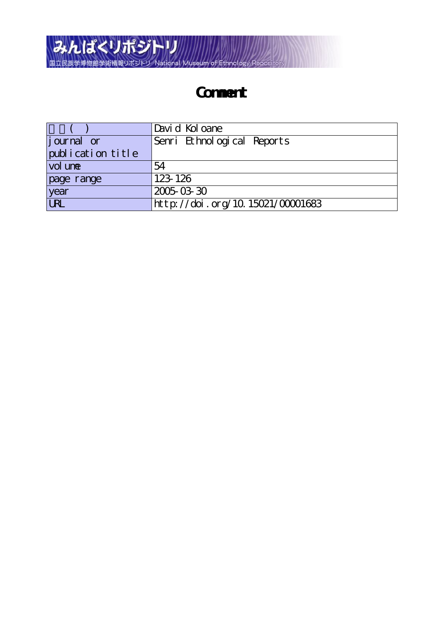

## **Comment**

|                   | Davi d Kol oane                  |
|-------------------|----------------------------------|
| journal or        | Senri Ethnological Reports       |
| publication title |                                  |
| vol une           | 54                               |
| page range        | 123-126                          |
| year              | 2005-03-30                       |
| <b>URL</b>        | http://doi.org/10.15021/00001683 |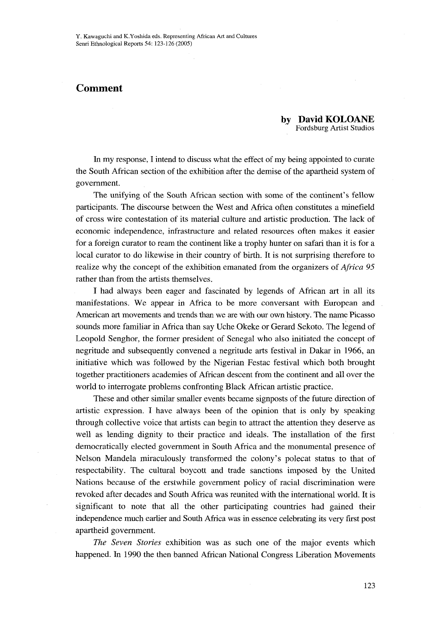## Comment

by DayidKOLOANE Fordsburg Artist Studios

 In my response, I intend to discuss what the effect of my being appointed to curate the South African section of the exhibition after the demise of the apartheid system of govemment.

The unifying of the South African section with some of the continent's fellow participants. The discourse between the West and Africa often constitutes a minefield of cross wire contestation of its material culture and artistic production. The lack of economic independence, infrastructure and related resources often makes it easier for a foreign curator to ream the continent like a trophy hunter on safari than it is for a local curator to do likewise in their country of birth. It is not surprising therefore to realize why the concept of the exhibition emanated from the organizers of *Africa* 95 rather than from the artists themselves.

 I had always been eager and fascinated by legends of Afirican art in all its manifestations. We appear in Africa to be more conversant with European and American art movements and trends than we are with our own history. The name Picasso sounds more familiar in Africa than say Uche Okeke or Gerard Sekoto. The legend of Leopold Senghor, the former president of Senegal who also initiated the concept of negritude and subsequently convened a negritude arts festival in Dakar in 1966, an initiative which was followed by the Nigerian Festac festival which both brought together practitioners academies of Afucan descent from the continent and all over the world to interrogate problems confronting Black African artistic practice.

These and other similar smaller events became signposts of the future direction of artistic expression. I have always been of the opinion that is only by speaking through collective voice that artists can begin to attract the attention they deserve as well as lending dignity to their practice and ideals. The installation of the first democratically elected government in South Africa and the monumental presence of Nelson Mandela miraculously transformed the colony's polecat status to that of respectability. The cultural boycott and trade sanctions imposed by the United Nations because of the erstwhile government policy of racial discrimination were revoked after decades and South Africa was reunited with the international world. It is significant to note that all the other participating countries had gained their independence much earlier and South Africa was in essence celebrating its very first post apartheid government.

The Seven Stories exhibition was as such one of the major events which happened. In 1990 the then banned Aflrican National Congress Liberation Movements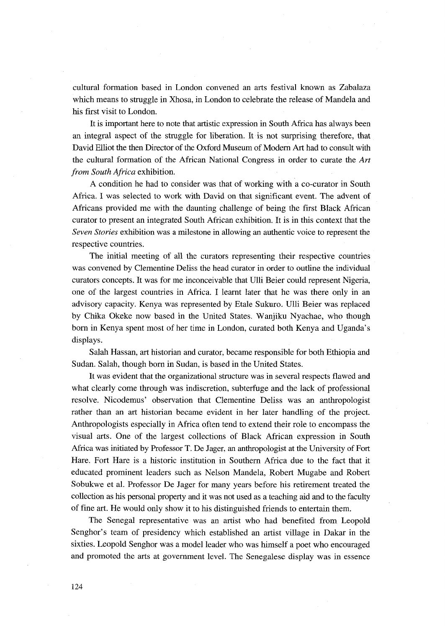cultural fOrmation based in London convened an arts festival known as Zabalaza which means to struggle in Xhosa, in London to celebrate the release of Mandela and his first visit to London.

 It is important here to note that artistic expression in South Africa has always been an integral aspect of the struggle for liberation. It is not surprising therefore, that David Elliot the then Director of the Oxford Museum of Moderh Art had to consult with the cultural formation of the African National Congress in order to curate the  $Art$ from South Africa exhibition.

A condition he had to consider was that of working with a co-curator in South Africa. I was selected to work with David on that significant event. The advent of Africans provided me with the daunting challenge of being the first Black Afirican curator to present an integrated South African exhibition. It is in this context that the Seven Stories exhibition was a milestone in allowing an authentic voice to represent the respective countries.

 The initial meeting of all the curators representing their respective countries was convened by CIementine Deliss the head curator in order to outline the individual curators concepts. It was for me inconceivable that Ulli Beier could represent Nigeria, one of the largest countries in Africa. I learnt later that he was there only in an advisory capacity. Kenya was represented by Etale Sukuro. Ulli Beier was replaced by Chika Okeke now based in the United States. Waajiku Nyachae, who though bom in Kenya spent most of her time in London, curated both Kenya and Uganda's displays.

 Salah Hassan, art historian and curator, became responsible for both Ethiopia and Sudan. Salah, though born in Sudan, is based in the United States.

 It was evident that the organizational structure was in several respects flawed and what clearly come through was indiscretion, subterfuge and the lack of professional resolve. Nicodemus' observation that Clementine Deliss was an anthropologist rather than an art historian became evident in her later handling of the project. Anthropologists especially in Africa often tend to extend their role to encompass the visual arts. One of the largest collections of Black African expression in South Africa was initiated by Professor T. De Jager, an anthropologist at the University of Fort Hare. Fort Hare is a historic institution in Southern Africa due to the fact that it educated prominent leaders such as Nelson Mandela, Robert Mugabe and Robert Sobukwe et al. Professor De Jager for many years before his retirement treated the collection as his personal property and it was not used as a teaching aid and to the faculty of fine art. He would only show it to his distinguished friends to entertain them.

The Senegal representative was an artist who had benefited from Leopold Senghor's team of presidency which established an artist village in Dakar in the sixties. Leopold Senghor was a model leader who was himself a poet who encouraged and promoted the arts at government level. The Senegalese display was in essence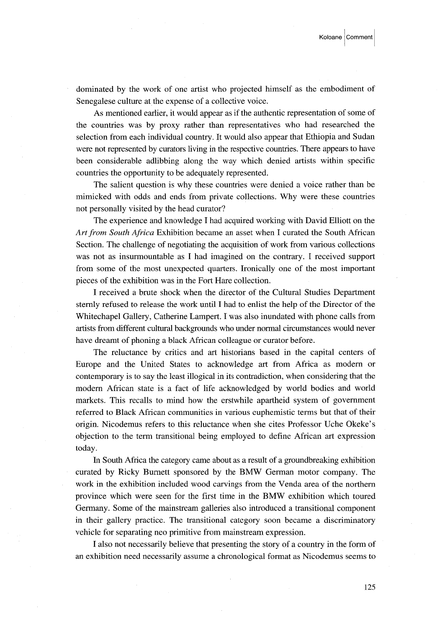dominated by the work of one artist who projected himself as the embodiment of Senegalese culture at the expense of a collective voice.

 As mentioned earlier, it would appear as if the authentic representation of some of the countries was by proxy rather than representatives who had researched the selection from each individual country. It would also appear that Ethiopia and Sudan were not represented by curators living in the respective countries. There appears to have been considerable adlibbing along the way which denied artists within specific countries the opportunity to be adequately represented.

 The salient question is why these countries were denied a voice rather than be mimicked with odds and ends from private collections. wny were these countries not personally visited by the head curator?

 The experience and knowledge I had acquired working with David Elliott on the Art from South Africa Exhibition became an asset when I curated the South African Section. The challenge of negotiating the acquisition of work from various collections was not as insurmountable as I had imagined on the contrary. I received support from some of the most unexpected quarters. Ironically one of the rnost important pieces of the exhibition was in the Fort Hare collection.

 I received a brute shock when the director of the Cultural Studies Department sternly refused to release the work until I had to enlist the help of the Director of the Whitechapel Gallery, Catherine Lampert. I was also inundated with phone calls from artists from different cultural backgrounds who under normal circumstances would never have dreamt of phoning a black African colleague or curator before.

 The reluctance by critics and art historians based in the capital centers of Europe and the United States to acknowledge art from Africa as modern or contemporary is to say the least illogical in its contradiction, when considering that the modern African state is a fact of life acknowledged by world bodies and world markets. This recalls to mind how the erstwhile apartheid system of government referred to Black African communities in various euphemistic terms but that of their origin. Nicodemus refers to this reluctance when she cites Professor Uche Okeke's objection to the term transitional being employed to define African art expression today.

 In South Aftica the category came about as a result of a groundbreaking exhibition curated by Ricky Burnett sponsored by the BMW German motor company. The work in the exhibition included wood carvings from the Venda area of the northern province which were seen for the first time in the BMW exhibition which toured Germany. Some of the mainstream galleries also introduced a transitional component in their gallery practice. The transitional category soon became a discriminatory vehicle for separating neo primitive from mainstream expression.

 I also not necessarily believe that presenting the story of a country in the form of an exhibition need necessarily assume a chronological format as Nicodemus seems to